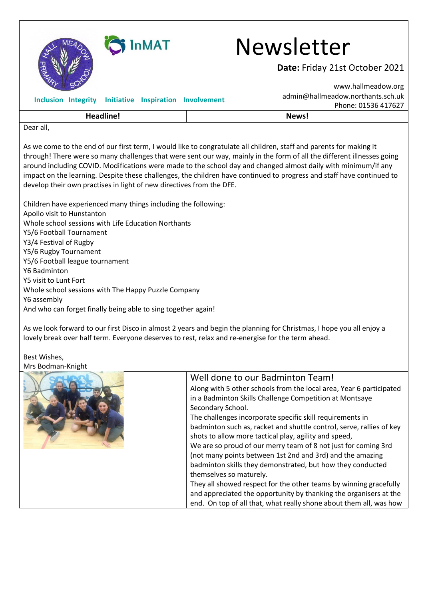

## SINMAT Newsletter

**Date:** Friday 21st October 2021

| Headline!     |                                                        |  |  | News!                                                    |
|---------------|--------------------------------------------------------|--|--|----------------------------------------------------------|
|               | Inclusion Integrity Initiative Inspiration Involvement |  |  | admin@hallmeadow.northants.sch.uk<br>Phone: 01536 417627 |
| $\sim$<br>SV. |                                                        |  |  | www.hallmeadow.org                                       |

Dear all,

As we come to the end of our first term, I would like to congratulate all children, staff and parents for making it through! There were so many challenges that were sent our way, mainly in the form of all the different illnesses going around including COVID. Modifications were made to the school day and changed almost daily with minimum/if any impact on the learning. Despite these challenges, the children have continued to progress and staff have continued to develop their own practises in light of new directives from the DFE.

Children have experienced many things including the following: Apollo visit to Hunstanton Whole school sessions with Life Education Northants Y5/6 Football Tournament Y3/4 Festival of Rugby Y5/6 Rugby Tournament Y5/6 Football league tournament Y6 Badminton Y5 visit to Lunt Fort Whole school sessions with The Happy Puzzle Company Y6 assembly And who can forget finally being able to sing together again!

As we look forward to our first Disco in almost 2 years and begin the planning for Christmas, I hope you all enjoy a lovely break over half term. Everyone deserves to rest, relax and re-energise for the term ahead.

Best Wishes, Mrs Bodman-Knight

| Well done to our Badminton Team!<br>Along with 5 other schools from the local area, Year 6 participated<br>in a Badminton Skills Challenge Competition at Montsaye<br>Secondary School.<br>The challenges incorporate specific skill requirements in<br>badminton such as, racket and shuttle control, serve, rallies of key<br>shots to allow more tactical play, agility and speed,<br>We are so proud of our merry team of 8 not just for coming 3rd<br>(not many points between 1st 2nd and 3rd) and the amazing<br>badminton skills they demonstrated, but how they conducted<br>themselves so maturely.<br>They all showed respect for the other teams by winning gracefully<br>and appreciated the opportunity by thanking the organisers at the<br>end. On top of all that, what really shone about them all, was how |
|-------------------------------------------------------------------------------------------------------------------------------------------------------------------------------------------------------------------------------------------------------------------------------------------------------------------------------------------------------------------------------------------------------------------------------------------------------------------------------------------------------------------------------------------------------------------------------------------------------------------------------------------------------------------------------------------------------------------------------------------------------------------------------------------------------------------------------|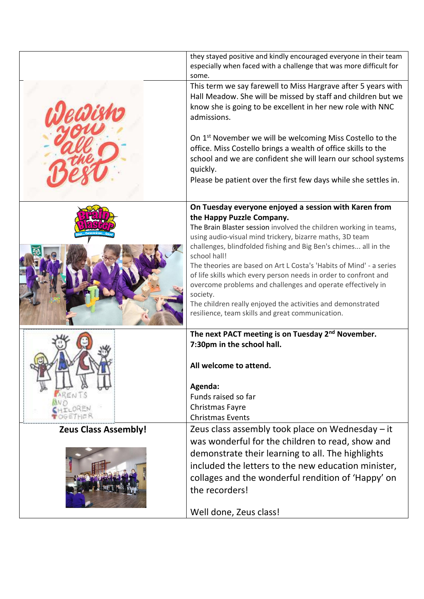|                             | they stayed positive and kindly encouraged everyone in their team<br>especially when faced with a challenge that was more difficult for<br>some.                                                                                                                                                                                                                                                                                                                                                                                                                                                                                                |
|-----------------------------|-------------------------------------------------------------------------------------------------------------------------------------------------------------------------------------------------------------------------------------------------------------------------------------------------------------------------------------------------------------------------------------------------------------------------------------------------------------------------------------------------------------------------------------------------------------------------------------------------------------------------------------------------|
|                             | This term we say farewell to Miss Hargrave after 5 years with<br>Hall Meadow. She will be missed by staff and children but we<br>know she is going to be excellent in her new role with NNC<br>admissions.                                                                                                                                                                                                                                                                                                                                                                                                                                      |
|                             | On 1 <sup>st</sup> November we will be welcoming Miss Costello to the<br>office. Miss Costello brings a wealth of office skills to the<br>school and we are confident she will learn our school systems<br>quickly.<br>Please be patient over the first few days while she settles in.                                                                                                                                                                                                                                                                                                                                                          |
|                             | On Tuesday everyone enjoyed a session with Karen from<br>the Happy Puzzle Company.<br>The Brain Blaster session involved the children working in teams,<br>using audio-visual mind trickery, bizarre maths, 3D team<br>challenges, blindfolded fishing and Big Ben's chimes all in the<br>school hall!<br>The theories are based on Art L Costa's 'Habits of Mind' - a series<br>of life skills which every person needs in order to confront and<br>overcome problems and challenges and operate effectively in<br>society.<br>The children really enjoyed the activities and demonstrated<br>resilience, team skills and great communication. |
|                             | The next PACT meeting is on Tuesday 2 <sup>nd</sup> November.<br>7:30pm in the school hall.<br>All welcome to attend.<br>Agenda:<br>Funds raised so far<br>Christmas Fayre<br><b>Christmas Events</b>                                                                                                                                                                                                                                                                                                                                                                                                                                           |
| <b>Zeus Class Assembly!</b> | Zeus class assembly took place on Wednesday - it<br>was wonderful for the children to read, show and<br>demonstrate their learning to all. The highlights<br>included the letters to the new education minister,<br>collages and the wonderful rendition of 'Happy' on<br>the recorders!<br>Well done, Zeus class!                                                                                                                                                                                                                                                                                                                              |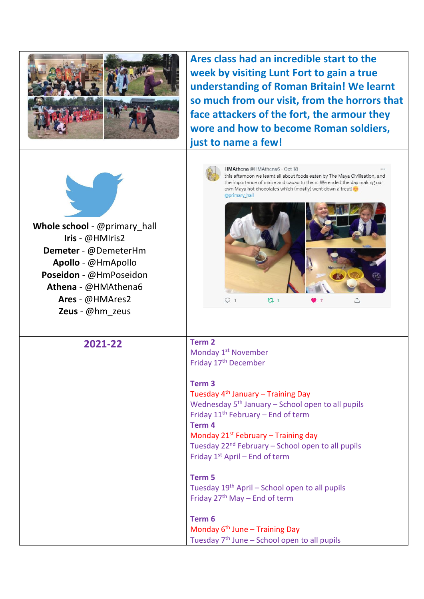

**Ares class had an incredible start to the week by visiting Lunt Fort to gain a true understanding of Roman Britain! We learnt so much from our visit, from the horrors that face attackers of the fort, the armour they wore and how to become Roman soldiers, just to name a few!** 

HMAthena @HMAthena6 - Oct 18



**Whole school** - @primary\_hall **Iris** - @HMIris2 **Demeter** - @DemeterHm **Apollo** - @HmApollo **Poseidon** - @HmPoseidon **Athena** - @HMAthena6 **Ares** - @HMAres2 **Zeus** - @hm\_zeus



**2021-22 Term 2**  Monday 1<sup>st</sup> November Friday 17th December

> **Term 3**  Tuesday 4th January – Training Day Wednesday  $5<sup>th</sup>$  January – School open to all pupils Friday  $11<sup>th</sup>$  February – End of term **Term 4** Monday  $21^{st}$  February – Training day Tuesday  $22^{nd}$  February – School open to all pupils Friday 1st April – End of term

**Term 5** Tuesday  $19<sup>th</sup>$  April – School open to all pupils Friday  $27<sup>th</sup>$  May – End of term

**Term 6**  Monday  $6<sup>th</sup>$  June – Training Day Tuesday 7th June – School open to all pupils